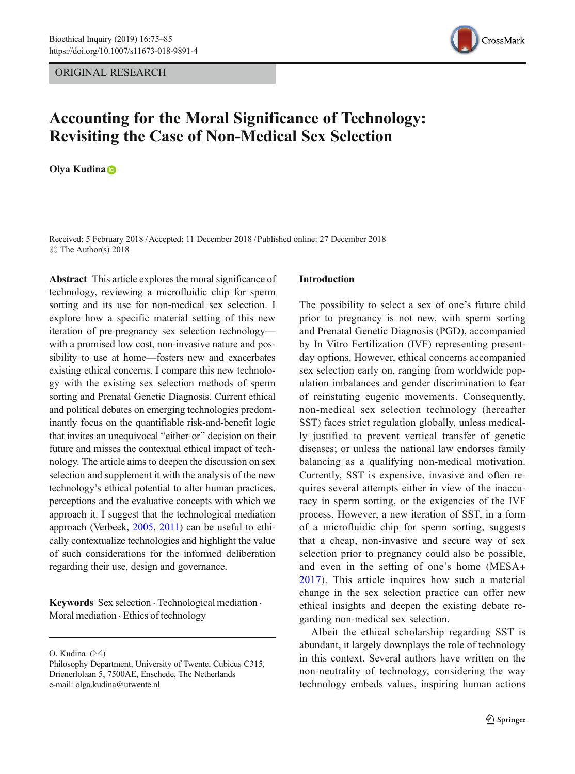ORIGINAL RESEARCH



# Accounting for the Moral Significance of Technology: Revisiting the Case of Non-Medical Sex Selection

Olya Kudina

Received: 5 February 2018 /Accepted: 11 December 2018 /Published online: 27 December 2018  $\circ$  The Author(s) 2018

Abstract This article explores the moral significance of technology, reviewing a microfluidic chip for sperm sorting and its use for non-medical sex selection. I explore how a specific material setting of this new iteration of pre-pregnancy sex selection technology with a promised low cost, non-invasive nature and possibility to use at home—fosters new and exacerbates existing ethical concerns. I compare this new technology with the existing sex selection methods of sperm sorting and Prenatal Genetic Diagnosis. Current ethical and political debates on emerging technologies predominantly focus on the quantifiable risk-and-benefit logic that invites an unequivocal "either-or" decision on their future and misses the contextual ethical impact of technology. The article aims to deepen the discussion on sex selection and supplement it with the analysis of the new technology's ethical potential to alter human practices, perceptions and the evaluative concepts with which we approach it. I suggest that the technological mediation approach (Verbeek, [2005,](#page-10-0) [2011\)](#page-10-0) can be useful to ethically contextualize technologies and highlight the value of such considerations for the informed deliberation regarding their use, design and governance.

Keywords Sex selection . Technological mediation . Moral mediation . Ethics of technology

O. Kudina  $(\boxtimes)$ 

## Introduction

The possibility to select a sex of one's future child prior to pregnancy is not new, with sperm sorting and Prenatal Genetic Diagnosis (PGD), accompanied by In Vitro Fertilization (IVF) representing presentday options. However, ethical concerns accompanied sex selection early on, ranging from worldwide population imbalances and gender discrimination to fear of reinstating eugenic movements. Consequently, non-medical sex selection technology (hereafter SST) faces strict regulation globally, unless medically justified to prevent vertical transfer of genetic diseases; or unless the national law endorses family balancing as a qualifying non-medical motivation. Currently, SST is expensive, invasive and often requires several attempts either in view of the inaccuracy in sperm sorting, or the exigencies of the IVF process. However, a new iteration of SST, in a form of a microfluidic chip for sperm sorting, suggests that a cheap, non-invasive and secure way of sex selection prior to pregnancy could also be possible, and even in the setting of one's home (MESA+ [2017\)](#page-10-0). This article inquires how such a material change in the sex selection practice can offer new ethical insights and deepen the existing debate regarding non-medical sex selection.

Albeit the ethical scholarship regarding SST is abundant, it largely downplays the role of technology in this context. Several authors have written on the non-neutrality of technology, considering the way technology embeds values, inspiring human actions

Philosophy Department, University of Twente, Cubicus C315, Drienerlolaan 5, 7500AE, Enschede, The Netherlands e-mail: olga.kudina@utwente.nl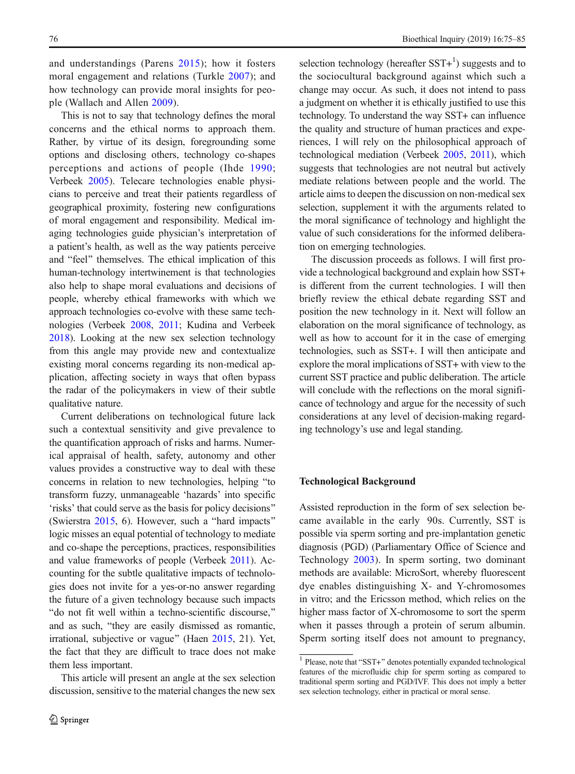and understandings (Parens [2015\)](#page-10-0); how it fosters moral engagement and relations (Turkle [2007\)](#page-10-0); and how technology can provide moral insights for people (Wallach and Allen [2009\)](#page-10-0).

This is not to say that technology defines the moral concerns and the ethical norms to approach them. Rather, by virtue of its design, foregrounding some options and disclosing others, technology co-shapes perceptions and actions of people (Ihde [1990](#page-10-0); Verbeek [2005\)](#page-10-0). Telecare technologies enable physicians to perceive and treat their patients regardless of geographical proximity, fostering new configurations of moral engagement and responsibility. Medical imaging technologies guide physician's interpretation of a patient's health, as well as the way patients perceive and "feel" themselves. The ethical implication of this human-technology intertwinement is that technologies also help to shape moral evaluations and decisions of people, whereby ethical frameworks with which we approach technologies co-evolve with these same technologies (Verbeek [2008,](#page-10-0) [2011](#page-10-0); Kudina and Verbeek [2018](#page-10-0)). Looking at the new sex selection technology from this angle may provide new and contextualize existing moral concerns regarding its non-medical application, affecting society in ways that often bypass the radar of the policymakers in view of their subtle qualitative nature.

Current deliberations on technological future lack such a contextual sensitivity and give prevalence to the quantification approach of risks and harms. Numerical appraisal of health, safety, autonomy and other values provides a constructive way to deal with these concerns in relation to new technologies, helping "to transform fuzzy, unmanageable 'hazards' into specific 'risks' that could serve as the basis for policy decisions^ (Swierstra  $2015$ , 6). However, such a "hard impacts" logic misses an equal potential of technology to mediate and co-shape the perceptions, practices, responsibilities and value frameworks of people (Verbeek [2011](#page-10-0)). Accounting for the subtle qualitative impacts of technologies does not invite for a yes-or-no answer regarding the future of a given technology because such impacts "do not fit well within a techno-scientific discourse." and as such, "they are easily dismissed as romantic, irrational, subjective or vague" (Haen [2015](#page-10-0), 21). Yet, the fact that they are difficult to trace does not make them less important.

This article will present an angle at the sex selection discussion, sensitive to the material changes the new sex

selection technology (hereafter  $SST+1$ ) suggests and to the sociocultural background against which such a change may occur. As such, it does not intend to pass a judgment on whether it is ethically justified to use this technology. To understand the way SST+ can influence the quality and structure of human practices and experiences, I will rely on the philosophical approach of technological mediation (Verbeek [2005,](#page-10-0) [2011](#page-10-0)), which suggests that technologies are not neutral but actively mediate relations between people and the world. The article aims to deepen the discussion on non-medical sex selection, supplement it with the arguments related to the moral significance of technology and highlight the value of such considerations for the informed deliberation on emerging technologies.

The discussion proceeds as follows. I will first provide a technological background and explain how SST+ is different from the current technologies. I will then briefly review the ethical debate regarding SST and position the new technology in it. Next will follow an elaboration on the moral significance of technology, as well as how to account for it in the case of emerging technologies, such as SST+. I will then anticipate and explore the moral implications of SST+ with view to the current SST practice and public deliberation. The article will conclude with the reflections on the moral significance of technology and argue for the necessity of such considerations at any level of decision-making regarding technology's use and legal standing.

## Technological Background

Assisted reproduction in the form of sex selection became available in the early 90s. Currently, SST is possible via sperm sorting and pre-implantation genetic diagnosis (PGD) (Parliamentary Office of Science and Technology [2003\)](#page-10-0). In sperm sorting, two dominant methods are available: MicroSort, whereby fluorescent dye enables distinguishing X- and Y-chromosomes in vitro; and the Ericsson method, which relies on the higher mass factor of X-chromosome to sort the sperm when it passes through a protein of serum albumin. Sperm sorting itself does not amount to pregnancy,

 $1$  Please, note that "SST+" denotes potentially expanded technological features of the microfluidic chip for sperm sorting as compared to traditional sperm sorting and PGD/IVF. This does not imply a better sex selection technology, either in practical or moral sense.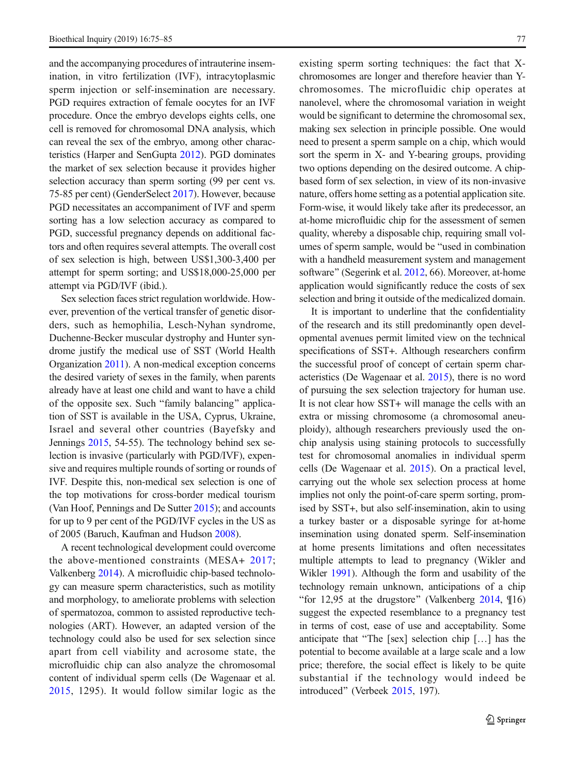and the accompanying procedures of intrauterine insemination, in vitro fertilization (IVF), intracytoplasmic sperm injection or self-insemination are necessary. PGD requires extraction of female oocytes for an IVF procedure. Once the embryo develops eights cells, one cell is removed for chromosomal DNA analysis, which can reveal the sex of the embryo, among other characteristics (Harper and SenGupta [2012\)](#page-10-0). PGD dominates the market of sex selection because it provides higher selection accuracy than sperm sorting (99 per cent vs. 75-85 per cent) (GenderSelect [2017](#page-9-0)). However, because PGD necessitates an accompaniment of IVF and sperm sorting has a low selection accuracy as compared to PGD, successful pregnancy depends on additional factors and often requires several attempts. The overall cost of sex selection is high, between US\$1,300-3,400 per attempt for sperm sorting; and US\$18,000-25,000 per attempt via PGD/IVF (ibid.).

Sex selection faces strict regulation worldwide. However, prevention of the vertical transfer of genetic disorders, such as hemophilia, Lesch-Nyhan syndrome, Duchenne-Becker muscular dystrophy and Hunter syndrome justify the medical use of SST (World Health Organization [2011\)](#page-10-0). A non-medical exception concerns the desired variety of sexes in the family, when parents already have at least one child and want to have a child of the opposite sex. Such "family balancing" application of SST is available in the USA, Cyprus, Ukraine, Israel and several other countries (Bayefsky and Jennings [2015,](#page-9-0) 54-55). The technology behind sex selection is invasive (particularly with PGD/IVF), expensive and requires multiple rounds of sorting or rounds of IVF. Despite this, non-medical sex selection is one of the top motivations for cross-border medical tourism (Van Hoof, Pennings and De Sutter [2015](#page-10-0)); and accounts for up to 9 per cent of the PGD/IVF cycles in the US as of 2005 (Baruch, Kaufman and Hudson [2008](#page-9-0)).

A recent technological development could overcome the above-mentioned constraints (MESA+ [2017](#page-10-0); Valkenberg [2014](#page-10-0)). A microfluidic chip-based technology can measure sperm characteristics, such as motility and morphology, to ameliorate problems with selection of spermatozoa, common to assisted reproductive technologies (ART). However, an adapted version of the technology could also be used for sex selection since apart from cell viability and acrosome state, the microfluidic chip can also analyze the chromosomal content of individual sperm cells (De Wagenaar et al. [2015,](#page-9-0) 1295). It would follow similar logic as the existing sperm sorting techniques: the fact that Xchromosomes are longer and therefore heavier than Ychromosomes. The microfluidic chip operates at nanolevel, where the chromosomal variation in weight would be significant to determine the chromosomal sex, making sex selection in principle possible. One would need to present a sperm sample on a chip, which would sort the sperm in X- and Y-bearing groups, providing two options depending on the desired outcome. A chipbased form of sex selection, in view of its non-invasive nature, offers home setting as a potential application site. Form-wise, it would likely take after its predecessor, an at-home microfluidic chip for the assessment of semen quality, whereby a disposable chip, requiring small volumes of sperm sample, would be "used in combination with a handheld measurement system and management software" (Segerink et al. [2012](#page-10-0), 66). Moreover, at-home application would significantly reduce the costs of sex selection and bring it outside of the medicalized domain.

It is important to underline that the confidentiality of the research and its still predominantly open developmental avenues permit limited view on the technical specifications of SST+. Although researchers confirm the successful proof of concept of certain sperm characteristics (De Wagenaar et al. [2015](#page-9-0)), there is no word of pursuing the sex selection trajectory for human use. It is not clear how SST+ will manage the cells with an extra or missing chromosome (a chromosomal aneuploidy), although researchers previously used the onchip analysis using staining protocols to successfully test for chromosomal anomalies in individual sperm cells (De Wagenaar et al. [2015\)](#page-9-0). On a practical level, carrying out the whole sex selection process at home implies not only the point-of-care sperm sorting, promised by SST+, but also self-insemination, akin to using a turkey baster or a disposable syringe for at-home insemination using donated sperm. Self-insemination at home presents limitations and often necessitates multiple attempts to lead to pregnancy (Wikler and Wikler [1991\)](#page-10-0). Although the form and usability of the technology remain unknown, anticipations of a chip "for 12,95 at the drugstore" (Valkenberg  $2014$ ,  $\P$ 16) suggest the expected resemblance to a pregnancy test in terms of cost, ease of use and acceptability. Some anticipate that "The [sex] selection chip  $[\dots]$  has the potential to become available at a large scale and a low price; therefore, the social effect is likely to be quite substantial if the technology would indeed be introduced" (Verbeek [2015,](#page-10-0) 197).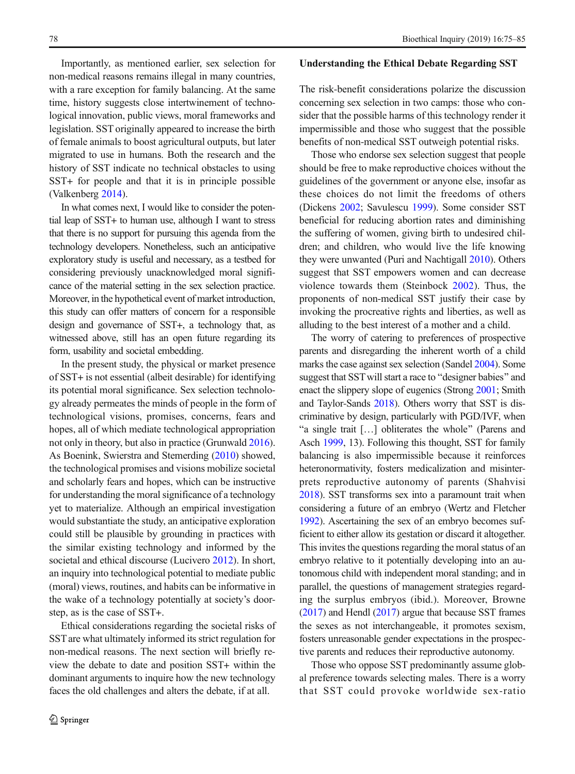Importantly, as mentioned earlier, sex selection for non-medical reasons remains illegal in many countries, with a rare exception for family balancing. At the same time, history suggests close intertwinement of technological innovation, public views, moral frameworks and legislation. SST originally appeared to increase the birth of female animals to boost agricultural outputs, but later migrated to use in humans. Both the research and the history of SST indicate no technical obstacles to using SST+ for people and that it is in principle possible (Valkenberg [2014](#page-10-0)).

In what comes next, I would like to consider the potential leap of SST+ to human use, although I want to stress that there is no support for pursuing this agenda from the technology developers. Nonetheless, such an anticipative exploratory study is useful and necessary, as a testbed for considering previously unacknowledged moral significance of the material setting in the sex selection practice. Moreover, in the hypothetical event of market introduction, this study can offer matters of concern for a responsible design and governance of SST+, a technology that, as witnessed above, still has an open future regarding its form, usability and societal embedding.

In the present study, the physical or market presence of SST+ is not essential (albeit desirable) for identifying its potential moral significance. Sex selection technology already permeates the minds of people in the form of technological visions, promises, concerns, fears and hopes, all of which mediate technological appropriation not only in theory, but also in practice (Grunwald [2016\)](#page-10-0). As Boenink, Swierstra and Stemerding ([2010](#page-9-0)) showed, the technological promises and visions mobilize societal and scholarly fears and hopes, which can be instructive for understanding the moral significance of a technology yet to materialize. Although an empirical investigation would substantiate the study, an anticipative exploration could still be plausible by grounding in practices with the similar existing technology and informed by the societal and ethical discourse (Lucivero [2012\)](#page-10-0). In short, an inquiry into technological potential to mediate public (moral) views, routines, and habits can be informative in the wake of a technology potentially at society's doorstep, as is the case of SST+.

Ethical considerations regarding the societal risks of SST are what ultimately informed its strict regulation for non-medical reasons. The next section will briefly review the debate to date and position SST+ within the dominant arguments to inquire how the new technology faces the old challenges and alters the debate, if at all.

#### Understanding the Ethical Debate Regarding SST

The risk-benefit considerations polarize the discussion concerning sex selection in two camps: those who consider that the possible harms of this technology render it impermissible and those who suggest that the possible benefits of non-medical SST outweigh potential risks.

Those who endorse sex selection suggest that people should be free to make reproductive choices without the guidelines of the government or anyone else, insofar as these choices do not limit the freedoms of others (Dickens [2002](#page-9-0); Savulescu [1999\)](#page-10-0). Some consider SST beneficial for reducing abortion rates and diminishing the suffering of women, giving birth to undesired children; and children, who would live the life knowing they were unwanted (Puri and Nachtigall [2010](#page-10-0)). Others suggest that SST empowers women and can decrease violence towards them (Steinbock [2002](#page-10-0)). Thus, the proponents of non-medical SST justify their case by invoking the procreative rights and liberties, as well as alluding to the best interest of a mother and a child.

The worry of catering to preferences of prospective parents and disregarding the inherent worth of a child marks the case against sex selection (Sandel [2004\)](#page-10-0). Some suggest that SST will start a race to "designer babies" and enact the slippery slope of eugenics (Strong [2001](#page-10-0); Smith and Taylor-Sands [2018](#page-10-0)). Others worry that SST is discriminative by design, particularly with PGD/IVF, when "a single trait [...] obliterates the whole" (Parens and Asch [1999,](#page-10-0) 13). Following this thought, SST for family balancing is also impermissible because it reinforces heteronormativity, fosters medicalization and misinterprets reproductive autonomy of parents (Shahvisi [2018](#page-10-0)). SST transforms sex into a paramount trait when considering a future of an embryo (Wertz and Fletcher [1992](#page-10-0)). Ascertaining the sex of an embryo becomes sufficient to either allow its gestation or discard it altogether. This invites the questions regarding the moral status of an embryo relative to it potentially developing into an autonomous child with independent moral standing; and in parallel, the questions of management strategies regarding the surplus embryos (ibid.). Moreover, Browne [\(2017](#page-9-0)) and Hendl [\(2017](#page-10-0)) argue that because SST frames the sexes as not interchangeable, it promotes sexism, fosters unreasonable gender expectations in the prospective parents and reduces their reproductive autonomy.

Those who oppose SST predominantly assume global preference towards selecting males. There is a worry that SST could provoke worldwide sex-ratio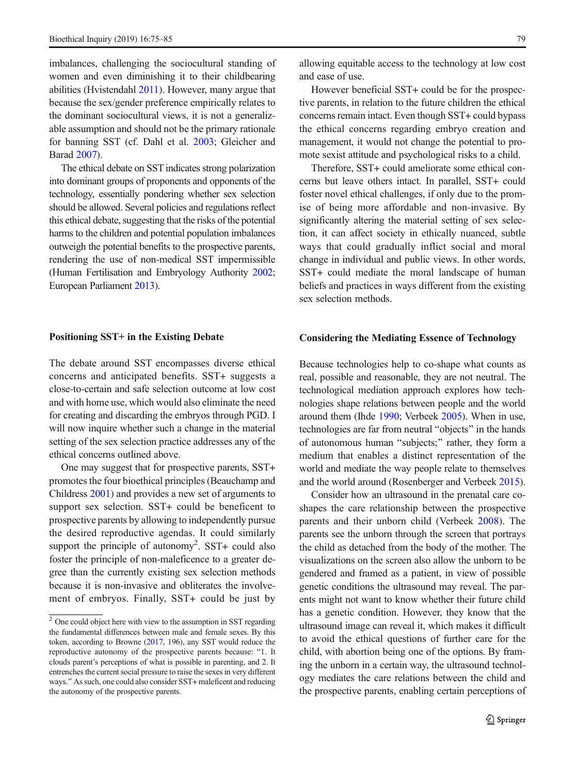imbalances, challenging the sociocultural standing of women and even diminishing it to their childbearing abilities (Hvistendahl [2011](#page-10-0)). However, many argue that because the sex/gender preference empirically relates to the dominant sociocultural views, it is not a generalizable assumption and should not be the primary rationale for banning SST (cf. Dahl et al. [2003;](#page-9-0) Gleicher and Barad [2007](#page-10-0)).

The ethical debate on SST indicates strong polarization into dominant groups of proponents and opponents of the technology, essentially pondering whether sex selection should be allowed. Several policies and regulations reflect this ethical debate, suggesting that the risks of the potential harms to the children and potential population imbalances outweigh the potential benefits to the prospective parents, rendering the use of non-medical SST impermissible (Human Fertilisation and Embryology Authority [2002](#page-10-0); European Parliament [2013](#page-9-0)).

#### Positioning SST+ in the Existing Debate

The debate around SST encompasses diverse ethical concerns and anticipated benefits. SST+ suggests a close-to-certain and safe selection outcome at low cost and with home use, which would also eliminate the need for creating and discarding the embryos through PGD. I will now inquire whether such a change in the material setting of the sex selection practice addresses any of the ethical concerns outlined above.

One may suggest that for prospective parents, SST+ promotes the four bioethical principles (Beauchamp and Childress [2001](#page-9-0)) and provides a new set of arguments to support sex selection. SST+ could be beneficent to prospective parents by allowing to independently pursue the desired reproductive agendas. It could similarly support the principle of autonomy<sup>2</sup>. SST+ could also foster the principle of non-maleficence to a greater degree than the currently existing sex selection methods because it is non-invasive and obliterates the involvement of embryos. Finally, SST+ could be just by allowing equitable access to the technology at low cost and ease of use.

However beneficial SST+ could be for the prospective parents, in relation to the future children the ethical concerns remain intact. Even though SST+ could bypass the ethical concerns regarding embryo creation and management, it would not change the potential to promote sexist attitude and psychological risks to a child.

Therefore, SST+ could ameliorate some ethical concerns but leave others intact. In parallel, SST+ could foster novel ethical challenges, if only due to the promise of being more affordable and non-invasive. By significantly altering the material setting of sex selection, it can affect society in ethically nuanced, subtle ways that could gradually inflict social and moral change in individual and public views. In other words, SST+ could mediate the moral landscape of human beliefs and practices in ways different from the existing sex selection methods.

#### Considering the Mediating Essence of Technology

Because technologies help to co-shape what counts as real, possible and reasonable, they are not neutral. The technological mediation approach explores how technologies shape relations between people and the world around them (Ihde [1990;](#page-10-0) Verbeek [2005\)](#page-10-0). When in use, technologies are far from neutral "objects" in the hands of autonomous human "subjects;" rather, they form a medium that enables a distinct representation of the world and mediate the way people relate to themselves and the world around (Rosenberger and Verbeek [2015\)](#page-10-0).

Consider how an ultrasound in the prenatal care coshapes the care relationship between the prospective parents and their unborn child (Verbeek [2008\)](#page-10-0). The parents see the unborn through the screen that portrays the child as detached from the body of the mother. The visualizations on the screen also allow the unborn to be gendered and framed as a patient, in view of possible genetic conditions the ultrasound may reveal. The parents might not want to know whether their future child has a genetic condition. However, they know that the ultrasound image can reveal it, which makes it difficult to avoid the ethical questions of further care for the child, with abortion being one of the options. By framing the unborn in a certain way, the ultrasound technology mediates the care relations between the child and the prospective parents, enabling certain perceptions of

<sup>2</sup> One could object here with view to the assumption in SST regarding the fundamental differences between male and female sexes. By this token, according to Browne ([2017](#page-9-0), 196), any SST would reduce the reproductive autonomy of the prospective parents because: "1. It clouds parent's perceptions of what is possible in parenting, and 2. It entrenches the current social pressure to raise the sexes in very different ways." As such, one could also consider SST+ maleficent and reducing the autonomy of the prospective parents.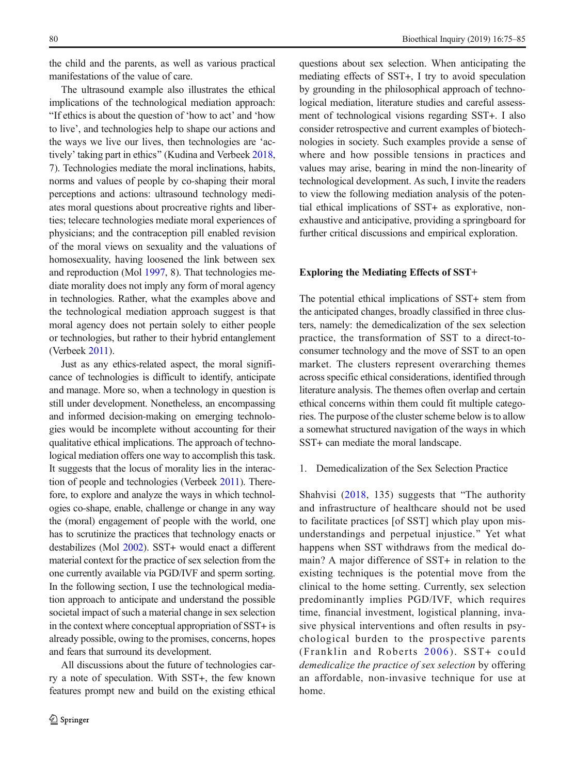the child and the parents, as well as various practical manifestations of the value of care.

The ultrasound example also illustrates the ethical implications of the technological mediation approach: "If ethics is about the question of 'how to act' and 'how to live', and technologies help to shape our actions and the ways we live our lives, then technologies are 'ac-tively' taking part in ethics" (Kudina and Verbeek [2018,](#page-10-0) 7). Technologies mediate the moral inclinations, habits, norms and values of people by co-shaping their moral perceptions and actions: ultrasound technology mediates moral questions about procreative rights and liberties; telecare technologies mediate moral experiences of physicians; and the contraception pill enabled revision of the moral views on sexuality and the valuations of homosexuality, having loosened the link between sex and reproduction (Mol [1997](#page-10-0), 8). That technologies mediate morality does not imply any form of moral agency in technologies. Rather, what the examples above and the technological mediation approach suggest is that moral agency does not pertain solely to either people or technologies, but rather to their hybrid entanglement (Verbeek [2011\)](#page-10-0).

Just as any ethics-related aspect, the moral significance of technologies is difficult to identify, anticipate and manage. More so, when a technology in question is still under development. Nonetheless, an encompassing and informed decision-making on emerging technologies would be incomplete without accounting for their qualitative ethical implications. The approach of technological mediation offers one way to accomplish this task. It suggests that the locus of morality lies in the interaction of people and technologies (Verbeek [2011](#page-10-0)). Therefore, to explore and analyze the ways in which technologies co-shape, enable, challenge or change in any way the (moral) engagement of people with the world, one has to scrutinize the practices that technology enacts or destabilizes (Mol [2002](#page-10-0)). SST+ would enact a different material context for the practice of sex selection from the one currently available via PGD/IVF and sperm sorting. In the following section, I use the technological mediation approach to anticipate and understand the possible societal impact of such a material change in sex selection in the context where conceptual appropriation of SST+ is already possible, owing to the promises, concerns, hopes and fears that surround its development.

All discussions about the future of technologies carry a note of speculation. With SST+, the few known features prompt new and build on the existing ethical questions about sex selection. When anticipating the mediating effects of SST+, I try to avoid speculation by grounding in the philosophical approach of technological mediation, literature studies and careful assessment of technological visions regarding SST+. I also consider retrospective and current examples of biotechnologies in society. Such examples provide a sense of where and how possible tensions in practices and values may arise, bearing in mind the non-linearity of technological development. As such, I invite the readers to view the following mediation analysis of the potential ethical implications of SST+ as explorative, nonexhaustive and anticipative, providing a springboard for further critical discussions and empirical exploration.

#### Exploring the Mediating Effects of SST+

The potential ethical implications of SST+ stem from the anticipated changes, broadly classified in three clusters, namely: the demedicalization of the sex selection practice, the transformation of SST to a direct-toconsumer technology and the move of SST to an open market. The clusters represent overarching themes across specific ethical considerations, identified through literature analysis. The themes often overlap and certain ethical concerns within them could fit multiple categories. The purpose of the cluster scheme below is to allow a somewhat structured navigation of the ways in which SST+ can mediate the moral landscape.

1. Demedicalization of the Sex Selection Practice

Shahvisi  $(2018, 135)$  $(2018, 135)$  $(2018, 135)$  suggests that "The authority and infrastructure of healthcare should not be used to facilitate practices [of SST] which play upon misunderstandings and perpetual injustice.^ Yet what happens when SST withdraws from the medical domain? A major difference of SST+ in relation to the existing techniques is the potential move from the clinical to the home setting. Currently, sex selection predominantly implies PGD/IVF, which requires time, financial investment, logistical planning, invasive physical interventions and often results in psychological burden to the prospective parents (Franklin and Roberts [2006](#page-9-0)). SST+ could demedicalize the practice of sex selection by offering an affordable, non-invasive technique for use at home.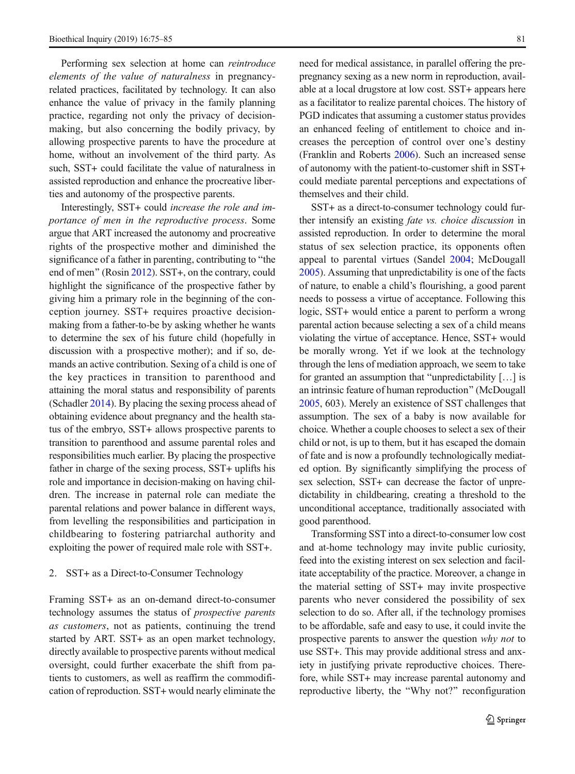Performing sex selection at home can reintroduce elements of the value of naturalness in pregnancyrelated practices, facilitated by technology. It can also enhance the value of privacy in the family planning practice, regarding not only the privacy of decisionmaking, but also concerning the bodily privacy, by allowing prospective parents to have the procedure at home, without an involvement of the third party. As such, SST+ could facilitate the value of naturalness in assisted reproduction and enhance the procreative liberties and autonomy of the prospective parents.

Interestingly, SST+ could increase the role and importance of men in the reproductive process. Some argue that ART increased the autonomy and procreative rights of the prospective mother and diminished the significance of a father in parenting, contributing to "the end of men" (Rosin [2012](#page-10-0)). SST+, on the contrary, could highlight the significance of the prospective father by giving him a primary role in the beginning of the conception journey. SST+ requires proactive decisionmaking from a father-to-be by asking whether he wants to determine the sex of his future child (hopefully in discussion with a prospective mother); and if so, demands an active contribution. Sexing of a child is one of the key practices in transition to parenthood and attaining the moral status and responsibility of parents (Schadler [2014](#page-10-0)). By placing the sexing process ahead of obtaining evidence about pregnancy and the health status of the embryo, SST+ allows prospective parents to transition to parenthood and assume parental roles and responsibilities much earlier. By placing the prospective father in charge of the sexing process, SST+ uplifts his role and importance in decision-making on having children. The increase in paternal role can mediate the parental relations and power balance in different ways, from levelling the responsibilities and participation in childbearing to fostering patriarchal authority and exploiting the power of required male role with SST+.

## 2. SST+ as a Direct-to-Consumer Technology

Framing SST+ as an on-demand direct-to-consumer technology assumes the status of prospective parents as customers, not as patients, continuing the trend started by ART. SST+ as an open market technology, directly available to prospective parents without medical oversight, could further exacerbate the shift from patients to customers, as well as reaffirm the commodification of reproduction. SST+ would nearly eliminate the need for medical assistance, in parallel offering the prepregnancy sexing as a new norm in reproduction, available at a local drugstore at low cost. SST+ appears here as a facilitator to realize parental choices. The history of PGD indicates that assuming a customer status provides an enhanced feeling of entitlement to choice and increases the perception of control over one's destiny (Franklin and Roberts [2006\)](#page-9-0). Such an increased sense of autonomy with the patient-to-customer shift in SST+ could mediate parental perceptions and expectations of themselves and their child.

SST+ as a direct-to-consumer technology could further intensify an existing fate vs. choice discussion in assisted reproduction. In order to determine the moral status of sex selection practice, its opponents often appeal to parental virtues (Sandel [2004](#page-10-0); McDougall [2005](#page-10-0)). Assuming that unpredictability is one of the facts of nature, to enable a child's flourishing, a good parent needs to possess a virtue of acceptance. Following this logic, SST+ would entice a parent to perform a wrong parental action because selecting a sex of a child means violating the virtue of acceptance. Hence, SST+ would be morally wrong. Yet if we look at the technology through the lens of mediation approach, we seem to take for granted an assumption that "unpredictability  $[...]$  is an intrinsic feature of human reproduction" (McDougall [2005](#page-10-0), 603). Merely an existence of SST challenges that assumption. The sex of a baby is now available for choice. Whether a couple chooses to select a sex of their child or not, is up to them, but it has escaped the domain of fate and is now a profoundly technologically mediated option. By significantly simplifying the process of sex selection, SST+ can decrease the factor of unpredictability in childbearing, creating a threshold to the unconditional acceptance, traditionally associated with good parenthood.

Transforming SST into a direct-to-consumer low cost and at-home technology may invite public curiosity, feed into the existing interest on sex selection and facilitate acceptability of the practice. Moreover, a change in the material setting of SST+ may invite prospective parents who never considered the possibility of sex selection to do so. After all, if the technology promises to be affordable, safe and easy to use, it could invite the prospective parents to answer the question why not to use SST+. This may provide additional stress and anxiety in justifying private reproductive choices. Therefore, while SST+ may increase parental autonomy and reproductive liberty, the "Why not?" reconfiguration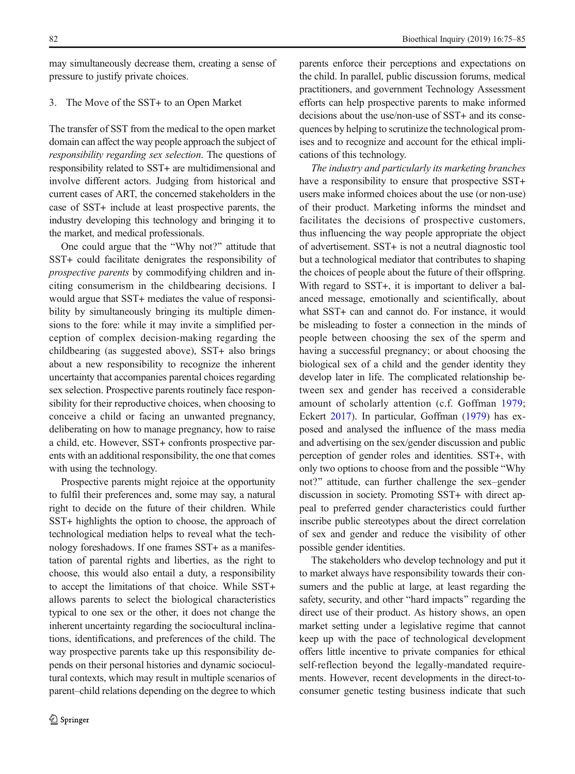may simultaneously decrease them, creating a sense of pressure to justify private choices.

## 3. The Move of the SST+ to an Open Market

The transfer of SST from the medical to the open market domain can affect the way people approach the subject of responsibility regarding sex selection. The questions of responsibility related to SST+ are multidimensional and involve different actors. Judging from historical and current cases of ART, the concerned stakeholders in the case of SST+ include at least prospective parents, the industry developing this technology and bringing it to the market, and medical professionals.

One could argue that the "Why not?" attitude that SST+ could facilitate denigrates the responsibility of prospective parents by commodifying children and inciting consumerism in the childbearing decisions. I would argue that SST+ mediates the value of responsibility by simultaneously bringing its multiple dimensions to the fore: while it may invite a simplified perception of complex decision-making regarding the childbearing (as suggested above), SST+ also brings about a new responsibility to recognize the inherent uncertainty that accompanies parental choices regarding sex selection. Prospective parents routinely face responsibility for their reproductive choices, when choosing to conceive a child or facing an unwanted pregnancy, deliberating on how to manage pregnancy, how to raise a child, etc. However, SST+ confronts prospective parents with an additional responsibility, the one that comes with using the technology.

Prospective parents might rejoice at the opportunity to fulfil their preferences and, some may say, a natural right to decide on the future of their children. While SST+ highlights the option to choose, the approach of technological mediation helps to reveal what the technology foreshadows. If one frames SST+ as a manifestation of parental rights and liberties, as the right to choose, this would also entail a duty, a responsibility to accept the limitations of that choice. While SST+ allows parents to select the biological characteristics typical to one sex or the other, it does not change the inherent uncertainty regarding the sociocultural inclinations, identifications, and preferences of the child. The way prospective parents take up this responsibility depends on their personal histories and dynamic sociocultural contexts, which may result in multiple scenarios of parent–child relations depending on the degree to which

parents enforce their perceptions and expectations on the child. In parallel, public discussion forums, medical practitioners, and government Technology Assessment efforts can help prospective parents to make informed decisions about the use/non-use of SST+ and its consequences by helping to scrutinize the technological promises and to recognize and account for the ethical implications of this technology.

The industry and particularly its marketing branches have a responsibility to ensure that prospective SST+ users make informed choices about the use (or non-use) of their product. Marketing informs the mindset and facilitates the decisions of prospective customers, thus influencing the way people appropriate the object of advertisement. SST+ is not a neutral diagnostic tool but a technological mediator that contributes to shaping the choices of people about the future of their offspring. With regard to SST+, it is important to deliver a balanced message, emotionally and scientifically, about what SST+ can and cannot do. For instance, it would be misleading to foster a connection in the minds of people between choosing the sex of the sperm and having a successful pregnancy; or about choosing the biological sex of a child and the gender identity they develop later in life. The complicated relationship between sex and gender has received a considerable amount of scholarly attention (c.f. Goffman [1979;](#page-10-0) Eckert [2017](#page-9-0)). In particular, Goffman [\(1979](#page-10-0)) has exposed and analysed the influence of the mass media and advertising on the sex/gender discussion and public perception of gender roles and identities. SST+, with only two options to choose from and the possible "Why" not?" attitude, can further challenge the sex–gender discussion in society. Promoting SST+ with direct appeal to preferred gender characteristics could further inscribe public stereotypes about the direct correlation of sex and gender and reduce the visibility of other possible gender identities.

The stakeholders who develop technology and put it to market always have responsibility towards their consumers and the public at large, at least regarding the safety, security, and other "hard impacts" regarding the direct use of their product. As history shows, an open market setting under a legislative regime that cannot keep up with the pace of technological development offers little incentive to private companies for ethical self-reflection beyond the legally-mandated requirements. However, recent developments in the direct-toconsumer genetic testing business indicate that such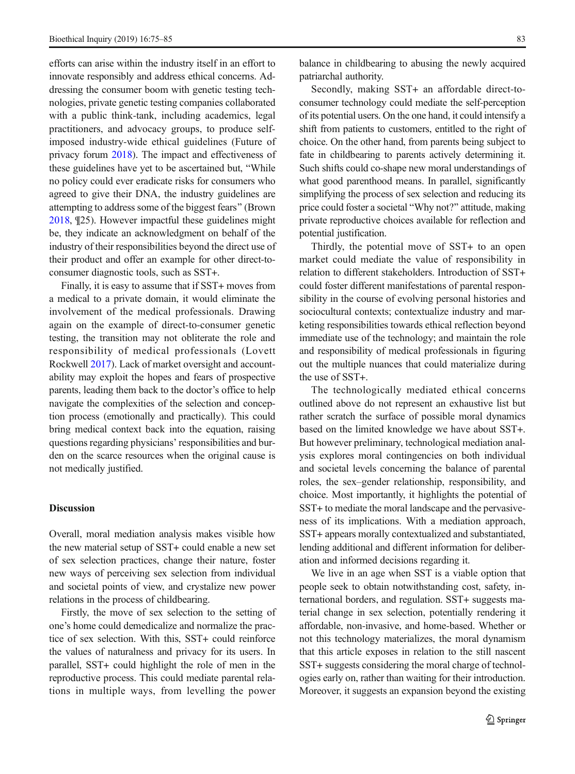efforts can arise within the industry itself in an effort to innovate responsibly and address ethical concerns. Addressing the consumer boom with genetic testing technologies, private genetic testing companies collaborated with a public think-tank, including academics, legal practitioners, and advocacy groups, to produce selfimposed industry-wide ethical guidelines (Future of privacy forum [2018\)](#page-9-0). The impact and effectiveness of these guidelines have yet to be ascertained but, "While" no policy could ever eradicate risks for consumers who agreed to give their DNA, the industry guidelines are attempting to address some of the biggest fears^ (Brown [2018](#page-9-0), ¶25). However impactful these guidelines might be, they indicate an acknowledgment on behalf of the industry of their responsibilities beyond the direct use of their product and offer an example for other direct-toconsumer diagnostic tools, such as SST+.

Finally, it is easy to assume that if SST+ moves from a medical to a private domain, it would eliminate the involvement of the medical professionals. Drawing again on the example of direct-to-consumer genetic testing, the transition may not obliterate the role and responsibility of medical professionals (Lovett Rockwell [2017\)](#page-10-0). Lack of market oversight and accountability may exploit the hopes and fears of prospective parents, leading them back to the doctor's office to help navigate the complexities of the selection and conception process (emotionally and practically). This could bring medical context back into the equation, raising questions regarding physicians' responsibilities and burden on the scarce resources when the original cause is not medically justified.

## Discussion

Overall, moral mediation analysis makes visible how the new material setup of SST+ could enable a new set of sex selection practices, change their nature, foster new ways of perceiving sex selection from individual and societal points of view, and crystalize new power relations in the process of childbearing.

Firstly, the move of sex selection to the setting of one's home could demedicalize and normalize the practice of sex selection. With this, SST+ could reinforce the values of naturalness and privacy for its users. In parallel, SST+ could highlight the role of men in the reproductive process. This could mediate parental relations in multiple ways, from levelling the power

balance in childbearing to abusing the newly acquired patriarchal authority.

Secondly, making SST+ an affordable direct-toconsumer technology could mediate the self-perception of its potential users. On the one hand, it could intensify a shift from patients to customers, entitled to the right of choice. On the other hand, from parents being subject to fate in childbearing to parents actively determining it. Such shifts could co-shape new moral understandings of what good parenthood means. In parallel, significantly simplifying the process of sex selection and reducing its price could foster a societal "Why not?" attitude, making private reproductive choices available for reflection and potential justification.

Thirdly, the potential move of SST+ to an open market could mediate the value of responsibility in relation to different stakeholders. Introduction of SST+ could foster different manifestations of parental responsibility in the course of evolving personal histories and sociocultural contexts; contextualize industry and marketing responsibilities towards ethical reflection beyond immediate use of the technology; and maintain the role and responsibility of medical professionals in figuring out the multiple nuances that could materialize during the use of SST+.

The technologically mediated ethical concerns outlined above do not represent an exhaustive list but rather scratch the surface of possible moral dynamics based on the limited knowledge we have about SST+. But however preliminary, technological mediation analysis explores moral contingencies on both individual and societal levels concerning the balance of parental roles, the sex–gender relationship, responsibility, and choice. Most importantly, it highlights the potential of SST+ to mediate the moral landscape and the pervasiveness of its implications. With a mediation approach, SST+ appears morally contextualized and substantiated, lending additional and different information for deliberation and informed decisions regarding it.

We live in an age when SST is a viable option that people seek to obtain notwithstanding cost, safety, international borders, and regulation. SST+ suggests material change in sex selection, potentially rendering it affordable, non-invasive, and home-based. Whether or not this technology materializes, the moral dynamism that this article exposes in relation to the still nascent SST+ suggests considering the moral charge of technologies early on, rather than waiting for their introduction. Moreover, it suggests an expansion beyond the existing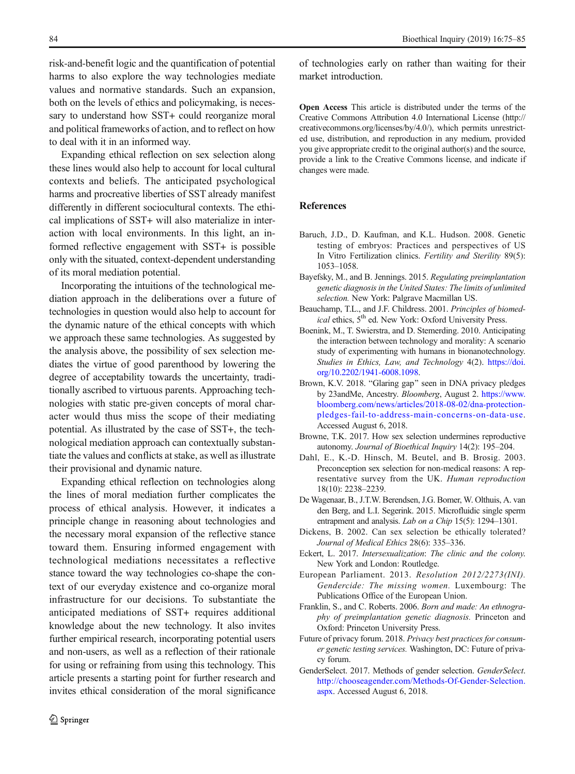<span id="page-9-0"></span>risk-and-benefit logic and the quantification of potential harms to also explore the way technologies mediate values and normative standards. Such an expansion, both on the levels of ethics and policymaking, is necessary to understand how SST+ could reorganize moral and political frameworks of action, and to reflect on how to deal with it in an informed way.

Expanding ethical reflection on sex selection along these lines would also help to account for local cultural contexts and beliefs. The anticipated psychological harms and procreative liberties of SST already manifest differently in different sociocultural contexts. The ethical implications of SST+ will also materialize in interaction with local environments. In this light, an informed reflective engagement with SST+ is possible only with the situated, context-dependent understanding of its moral mediation potential.

Incorporating the intuitions of the technological mediation approach in the deliberations over a future of technologies in question would also help to account for the dynamic nature of the ethical concepts with which we approach these same technologies. As suggested by the analysis above, the possibility of sex selection mediates the virtue of good parenthood by lowering the degree of acceptability towards the uncertainty, traditionally ascribed to virtuous parents. Approaching technologies with static pre-given concepts of moral character would thus miss the scope of their mediating potential. As illustrated by the case of SST+, the technological mediation approach can contextually substantiate the values and conflicts at stake, as well as illustrate their provisional and dynamic nature.

Expanding ethical reflection on technologies along the lines of moral mediation further complicates the process of ethical analysis. However, it indicates a principle change in reasoning about technologies and the necessary moral expansion of the reflective stance toward them. Ensuring informed engagement with technological mediations necessitates a reflective stance toward the way technologies co-shape the context of our everyday existence and co-organize moral infrastructure for our decisions. To substantiate the anticipated mediations of SST+ requires additional knowledge about the new technology. It also invites further empirical research, incorporating potential users and non-users, as well as a reflection of their rationale for using or refraining from using this technology. This article presents a starting point for further research and invites ethical consideration of the moral significance of technologies early on rather than waiting for their market introduction.

Open Access This article is distributed under the terms of the Creative Commons Attribution 4.0 International License (http:// creativecommons.org/licenses/by/4.0/), which permits unrestricted use, distribution, and reproduction in any medium, provided you give appropriate credit to the original author(s) and the source, provide a link to the Creative Commons license, and indicate if changes were made.

## References

- Baruch, J.D., D. Kaufman, and K.L. Hudson. 2008. Genetic testing of embryos: Practices and perspectives of US In Vitro Fertilization clinics. Fertility and Sterility 89(5): 1053–1058.
- Bayefsky, M., and B. Jennings. 2015. Regulating preimplantation genetic diagnosis in the United States: The limits of unlimited selection. New York: Palgrave Macmillan US.
- Beauchamp, T.L., and J.F. Childress. 2001. Principles of biomedical ethics, 5<sup>th</sup> ed. New York: Oxford University Press.
- Boenink, M., T. Swierstra, and D. Stemerding. 2010. Anticipating the interaction between technology and morality: A scenario study of experimenting with humans in bionanotechnology. Studies in Ethics, Law, and Technology 4(2). [https://doi.](https://doi.org/10.2202/1941-6008.1098) [org/10.2202/1941-6008.1098](https://doi.org/10.2202/1941-6008.1098).
- Brown, K.V. 2018. "Glaring gap" seen in DNA privacy pledges by 23andMe, Ancestry. Bloomberg, August 2. [https://www.](https://www.bloomberg.com/news/articles/2018-08-02/dna-protection-pledges-fail-to-address-main-concerns-on-data-use) [bloomberg.com/news/articles/2018-08-02/dna-protection](https://www.bloomberg.com/news/articles/2018-08-02/dna-protection-pledges-fail-to-address-main-concerns-on-data-use)[pledges-fail-to-address-main-concerns-on-data-use](https://www.bloomberg.com/news/articles/2018-08-02/dna-protection-pledges-fail-to-address-main-concerns-on-data-use). Accessed August 6, 2018.
- Browne, T.K. 2017. How sex selection undermines reproductive autonomy. Journal of Bioethical Inquiry 14(2): 195–204.
- Dahl, E., K.-D. Hinsch, M. Beutel, and B. Brosig. 2003. Preconception sex selection for non-medical reasons: A representative survey from the UK. Human reproduction 18(10): 2238–2239.
- De Wagenaar, B., J.T.W. Berendsen, J.G. Bomer, W. Olthuis, A. van den Berg, and L.I. Segerink. 2015. Microfluidic single sperm entrapment and analysis. Lab on a Chip 15(5): 1294–1301.
- Dickens, B. 2002. Can sex selection be ethically tolerated? Journal of Medical Ethics 28(6): 335–336.
- Eckert, L. 2017. Intersexualization: The clinic and the colony. New York and London: Routledge.
- European Parliament. 2013. Resolution 2012/2273(INI). Gendercide: The missing women. Luxembourg: The Publications Office of the European Union.
- Franklin, S., and C. Roberts. 2006. Born and made: An ethnography of preimplantation genetic diagnosis. Princeton and Oxford: Princeton University Press.
- Future of privacy forum. 2018. Privacy best practices for consumer genetic testing services. Washington, DC: Future of privacy forum.
- GenderSelect. 2017. Methods of gender selection. GenderSelect. [http://chooseagender.com/Methods-Of-Gender-Selection.](http://chooseagender.com/Methods-Of-Gender-Selection.aspx) [aspx.](http://chooseagender.com/Methods-Of-Gender-Selection.aspx) Accessed August 6, 2018.